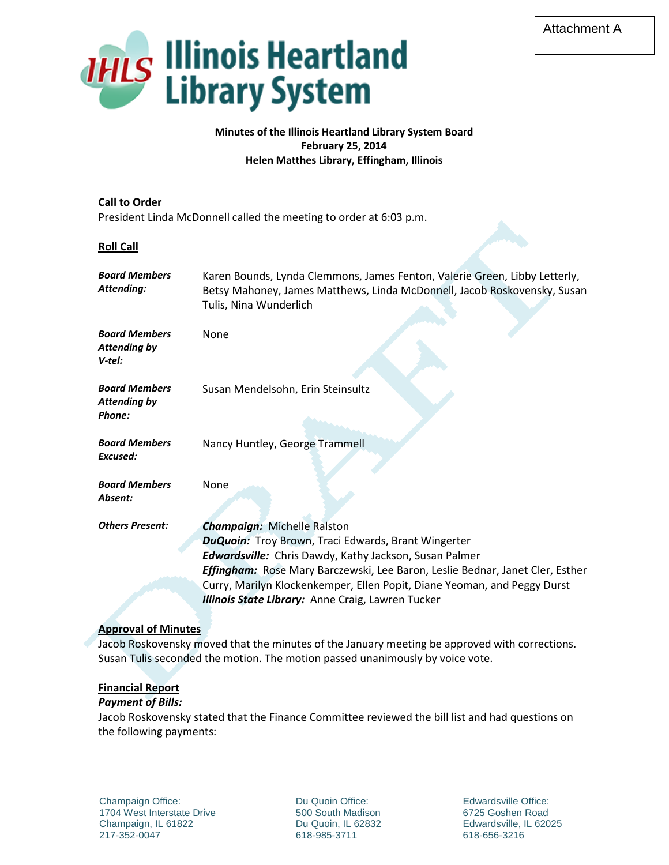

# **Minutes of the Illinois Heartland Library System Board February 25, 2014 Helen Matthes Library, Effingham, Illinois**

# **Call to Order**

President Linda McDonnell called the meeting to order at 6:03 p.m.

# **Roll Call**

| <b>Board Members</b><br>Attending:             | Karen Bounds, Lynda Clemmons, James Fenton, Valerie Green, Libby Letterly,<br>Betsy Mahoney, James Matthews, Linda McDonnell, Jacob Roskovensky, Susan<br>Tulis, Nina Wunderlich                                                                                                                                                                                                    |  |  |  |
|------------------------------------------------|-------------------------------------------------------------------------------------------------------------------------------------------------------------------------------------------------------------------------------------------------------------------------------------------------------------------------------------------------------------------------------------|--|--|--|
| <b>Board Members</b><br>Attending by<br>V-tel: | None                                                                                                                                                                                                                                                                                                                                                                                |  |  |  |
| <b>Board Members</b><br>Attending by<br>Phone: | Susan Mendelsohn, Erin Steinsultz                                                                                                                                                                                                                                                                                                                                                   |  |  |  |
| <b>Board Members</b><br>Excused:               | Nancy Huntley, George Trammell                                                                                                                                                                                                                                                                                                                                                      |  |  |  |
| <b>Board Members</b><br>Absent:                | None                                                                                                                                                                                                                                                                                                                                                                                |  |  |  |
| <b>Others Present:</b>                         | <b>Champaign: Michelle Ralston</b><br><b>DuQuoin:</b> Troy Brown, Traci Edwards, Brant Wingerter<br><b>Edwardsville:</b> Chris Dawdy, Kathy Jackson, Susan Palmer<br>Effingham: Rose Mary Barczewski, Lee Baron, Leslie Bednar, Janet Cler, Esther<br>Curry, Marilyn Klockenkemper, Ellen Popit, Diane Yeoman, and Peggy Durst<br>Illinois State Library: Anne Craig, Lawren Tucker |  |  |  |

# **Approval of Minutes**

Jacob Roskovensky moved that the minutes of the January meeting be approved with corrections. Susan Tulis seconded the motion. The motion passed unanimously by voice vote.

# **Financial Report**

# *Payment of Bills:*

Jacob Roskovensky stated that the Finance Committee reviewed the bill list and had questions on the following payments:

Du Quoin Office: 500 South Madison Du Quoin, IL 62832 618-985-3711

Edwardsville Office: 6725 Goshen Road Edwardsville, IL 62025 618-656-3216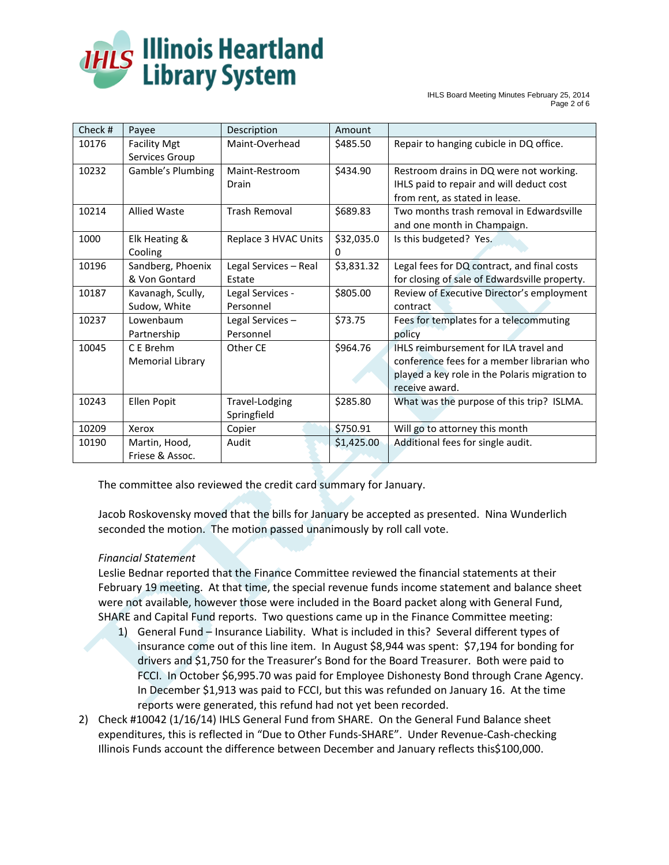

IHLS Board Meeting Minutes February 25, 2014 Page 2 of 6

| Check # | Payee                   | Description           | Amount     |                                               |
|---------|-------------------------|-----------------------|------------|-----------------------------------------------|
| 10176   | <b>Facility Mgt</b>     | Maint-Overhead        | \$485.50   | Repair to hanging cubicle in DQ office.       |
|         | Services Group          |                       |            |                                               |
| 10232   | Gamble's Plumbing       | Maint-Restroom        | \$434.90   | Restroom drains in DQ were not working.       |
|         |                         | Drain                 |            | IHLS paid to repair and will deduct cost      |
|         |                         |                       |            | from rent, as stated in lease.                |
| 10214   | <b>Allied Waste</b>     | <b>Trash Removal</b>  | \$689.83   | Two months trash removal in Edwardsville      |
|         |                         |                       |            | and one month in Champaign.                   |
| 1000    | Elk Heating &           | Replace 3 HVAC Units  | \$32,035.0 | Is this budgeted? Yes.                        |
|         | Cooling                 |                       | 0          |                                               |
| 10196   | Sandberg, Phoenix       | Legal Services - Real | \$3,831.32 | Legal fees for DQ contract, and final costs   |
|         | & Von Gontard           | Estate                |            | for closing of sale of Edwardsville property. |
| 10187   | Kavanagh, Scully,       | Legal Services -      | \$805.00   | Review of Executive Director's employment     |
|         | Sudow, White            | Personnel             |            | contract                                      |
| 10237   | Lowenbaum               | Legal Services-       | \$73.75    | Fees for templates for a telecommuting        |
|         | Partnership             | Personnel             |            | policy                                        |
| 10045   | C E Brehm               | Other CE              | \$964.76   | IHLS reimbursement for ILA travel and         |
|         | <b>Memorial Library</b> |                       |            | conference fees for a member librarian who    |
|         |                         |                       |            | played a key role in the Polaris migration to |
|         |                         |                       |            | receive award.                                |
| 10243   | Ellen Popit             | Travel-Lodging        | \$285.80   | What was the purpose of this trip? ISLMA.     |
|         |                         | Springfield           |            |                                               |
| 10209   | Xerox                   | Copier                | \$750.91   | Will go to attorney this month                |
| 10190   | Martin, Hood,           | Audit                 | \$1,425.00 | Additional fees for single audit.             |
|         | Friese & Assoc.         |                       |            |                                               |

The committee also reviewed the credit card summary for January.

Jacob Roskovensky moved that the bills for January be accepted as presented. Nina Wunderlich seconded the motion. The motion passed unanimously by roll call vote.

# *Financial Statement*

Leslie Bednar reported that the Finance Committee reviewed the financial statements at their February 19 meeting. At that time, the special revenue funds income statement and balance sheet were not available, however those were included in the Board packet along with General Fund, SHARE and Capital Fund reports. Two questions came up in the Finance Committee meeting:

- 1) General Fund Insurance Liability. What is included in this? Several different types of insurance come out of this line item. In August \$8,944 was spent: \$7,194 for bonding for drivers and \$1,750 for the Treasurer's Bond for the Board Treasurer. Both were paid to FCCI. In October \$6,995.70 was paid for Employee Dishonesty Bond through Crane Agency. In December \$1,913 was paid to FCCI, but this was refunded on January 16. At the time reports were generated, this refund had not yet been recorded.
- 2) Check #10042 (1/16/14) IHLS General Fund from SHARE. On the General Fund Balance sheet expenditures, this is reflected in "Due to Other Funds-SHARE". Under Revenue-Cash-checking Illinois Funds account the difference between December and January reflects this\$100,000.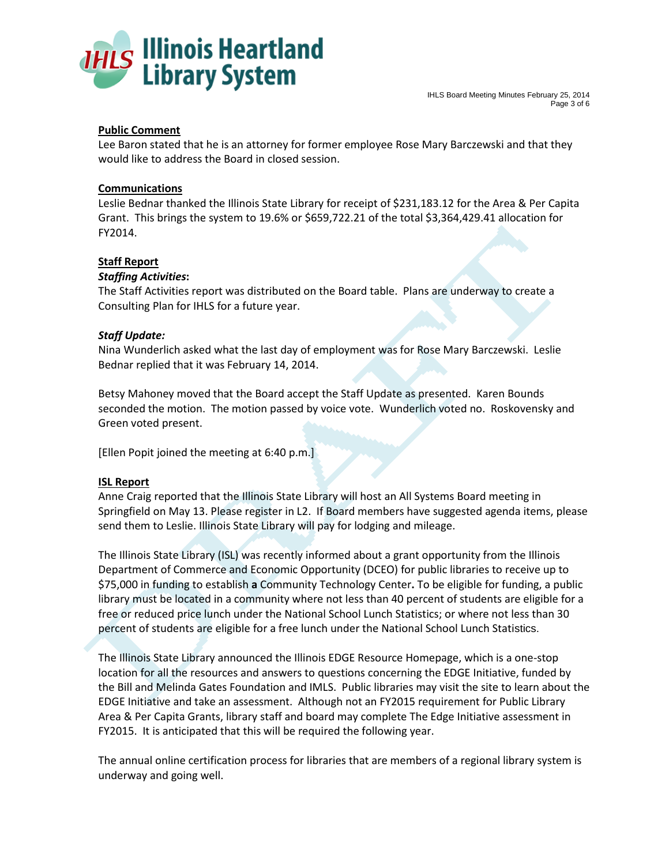

# **Public Comment**

Lee Baron stated that he is an attorney for former employee Rose Mary Barczewski and that they would like to address the Board in closed session.

# **Communications**

Leslie Bednar thanked the Illinois State Library for receipt of \$231,183.12 for the Area & Per Capita Grant. This brings the system to 19.6% or \$659,722.21 of the total \$3,364,429.41 allocation for FY2014.

# **Staff Report**

# *Staffing Activities***:**

The Staff Activities report was distributed on the Board table. Plans are underway to create a Consulting Plan for IHLS for a future year.

# *Staff Update:*

Nina Wunderlich asked what the last day of employment was for Rose Mary Barczewski. Leslie Bednar replied that it was February 14, 2014.

Betsy Mahoney moved that the Board accept the Staff Update as presented. Karen Bounds seconded the motion. The motion passed by voice vote. Wunderlich voted no. Roskovensky and Green voted present.

[Ellen Popit joined the meeting at 6:40 p.m.]

# **ISL Report**

Anne Craig reported that the Illinois State Library will host an All Systems Board meeting in Springfield on May 13. Please register in L2. If Board members have suggested agenda items, please send them to Leslie. Illinois State Library will pay for lodging and mileage.

The Illinois State Library (ISL) was recently informed about a grant opportunity from the Illinois Department of Commerce and Economic Opportunity (DCEO) for public libraries to receive up to \$75,000 in funding to establish **a** Community Technology Center**.** To be eligible for funding, a public library must be located in a community where not less than 40 percent of students are eligible for a free or reduced price lunch under the National School Lunch Statistics; or where not less than 30 percent of students are eligible for a free lunch under the National School Lunch Statistics.

The Illinois State Library announced the Illinois EDGE Resource Homepage, which is a one-stop location for all the resources and answers to questions concerning the EDGE Initiative, funded by the Bill and Melinda Gates Foundation and IMLS. Public libraries may visit the site to learn about the EDGE Initiative and take an assessment. Although not an FY2015 requirement for Public Library Area & Per Capita Grants, library staff and board may complete The Edge Initiative assessment in FY2015. It is anticipated that this will be required the following year.

The annual online certification process for libraries that are members of a regional library system is underway and going well.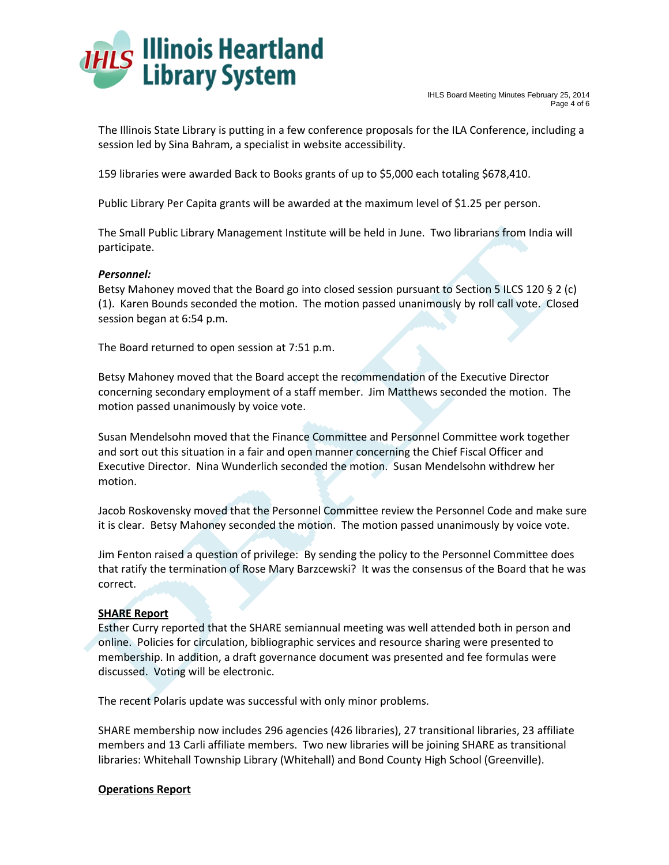

The Illinois State Library is putting in a few conference proposals for the ILA Conference, including a session led by Sina Bahram, a specialist in website accessibility.

159 libraries were awarded Back to Books grants of up to \$5,000 each totaling \$678,410.

Public Library Per Capita grants will be awarded at the maximum level of \$1.25 per person.

The Small Public Library Management Institute will be held in June. Two librarians from India will participate.

#### *Personnel:*

Betsy Mahoney moved that the Board go into closed session pursuant to Section 5 ILCS 120 § 2 (c) (1). Karen Bounds seconded the motion. The motion passed unanimously by roll call vote. Closed session began at 6:54 p.m.

The Board returned to open session at 7:51 p.m.

Betsy Mahoney moved that the Board accept the recommendation of the Executive Director concerning secondary employment of a staff member. Jim Matthews seconded the motion. The motion passed unanimously by voice vote.

Susan Mendelsohn moved that the Finance Committee and Personnel Committee work together and sort out this situation in a fair and open manner concerning the Chief Fiscal Officer and Executive Director. Nina Wunderlich seconded the motion. Susan Mendelsohn withdrew her motion.

Jacob Roskovensky moved that the Personnel Committee review the Personnel Code and make sure it is clear. Betsy Mahoney seconded the motion. The motion passed unanimously by voice vote.

Jim Fenton raised a question of privilege: By sending the policy to the Personnel Committee does that ratify the termination of Rose Mary Barzcewski? It was the consensus of the Board that he was correct.

# **SHARE Report**

Esther Curry reported that the SHARE semiannual meeting was well attended both in person and online. Policies for circulation, bibliographic services and resource sharing were presented to membership. In addition, a draft governance document was presented and fee formulas were discussed. Voting will be electronic.

The recent Polaris update was successful with only minor problems.

SHARE membership now includes 296 agencies (426 libraries), 27 transitional libraries, 23 affiliate members and 13 Carli affiliate members. Two new libraries will be joining SHARE as transitional libraries: Whitehall Township Library (Whitehall) and Bond County High School (Greenville).

#### **Operations Report**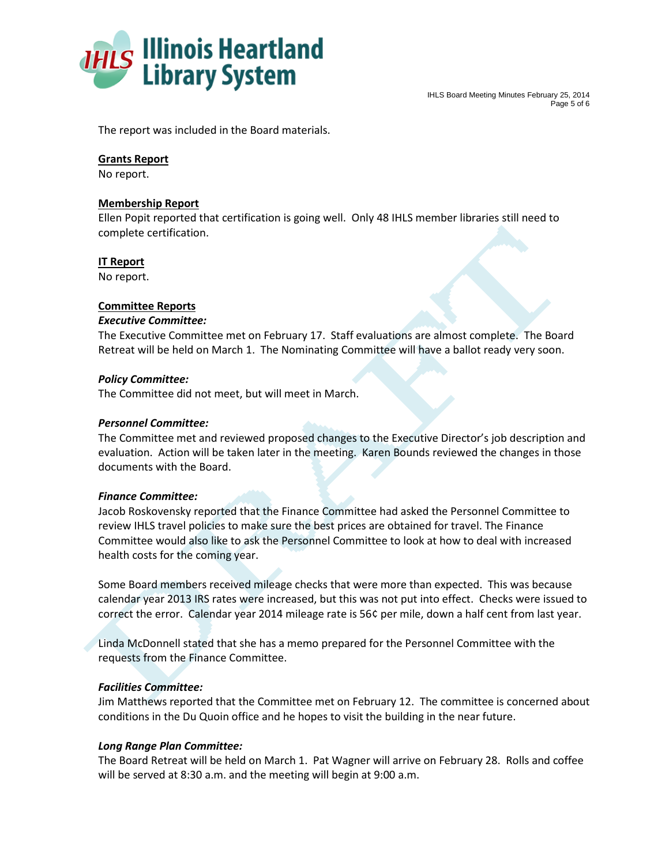

The report was included in the Board materials.

# **Grants Report**

No report.

# **Membership Report**

Ellen Popit reported that certification is going well. Only 48 IHLS member libraries still need to complete certification.

# **IT Report**

No report.

# **Committee Reports**

#### *Executive Committee:*

The Executive Committee met on February 17. Staff evaluations are almost complete. The Board Retreat will be held on March 1. The Nominating Committee will have a ballot ready very soon.

#### *Policy Committee:*

The Committee did not meet, but will meet in March.

#### *Personnel Committee:*

The Committee met and reviewed proposed changes to the Executive Director's job description and evaluation. Action will be taken later in the meeting. Karen Bounds reviewed the changes in those documents with the Board.

# *Finance Committee:*

Jacob Roskovensky reported that the Finance Committee had asked the Personnel Committee to review IHLS travel policies to make sure the best prices are obtained for travel. The Finance Committee would also like to ask the Personnel Committee to look at how to deal with increased health costs for the coming year.

Some Board members received mileage checks that were more than expected. This was because calendar year 2013 IRS rates were increased, but this was not put into effect. Checks were issued to correct the error. Calendar year 2014 mileage rate is 56¢ per mile, down a half cent from last year.

Linda McDonnell stated that she has a memo prepared for the Personnel Committee with the requests from the Finance Committee.

# *Facilities Committee:*

Jim Matthews reported that the Committee met on February 12. The committee is concerned about conditions in the Du Quoin office and he hopes to visit the building in the near future.

# *Long Range Plan Committee:*

The Board Retreat will be held on March 1. Pat Wagner will arrive on February 28. Rolls and coffee will be served at 8:30 a.m. and the meeting will begin at 9:00 a.m.